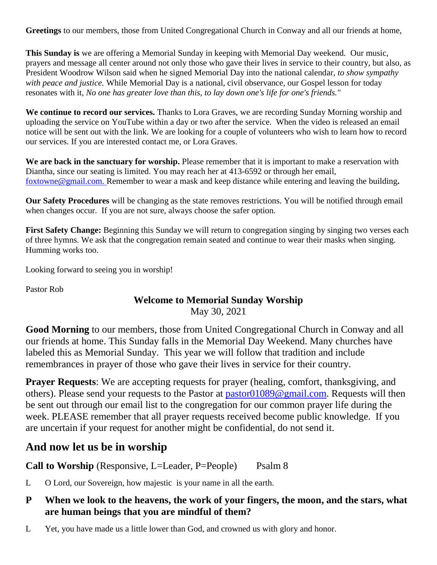**Greetings** to our members, those from United Congregational Church in Conway and all our friends at home,

**This Sunday is** we are offering a Memorial Sunday in keeping with Memorial Day weekend. Our music, prayers and message all center around not only those who gave their lives in service to their country, but also, as President Woodrow Wilson said when he signed Memorial Day into the national calendar*, to show sympathy with peace and justice.* While Memorial Day is a national, civil observance, our Gospel lesson for today resonates with it, *No one has greater love than this, to lay down one's life for one's friends."*

**We continue to record our services.** Thanks to Lora Graves, we are recording Sunday Morning worship and uploading the service on YouTube within a day or two after the service. When the video is released an email notice will be sent out with the link. We are looking for a couple of volunteers who wish to learn how to record our services. If you are interested contact me, or Lora Graves.

We are back in the sanctuary for worship. Please remember that it is important to make a reservation with Diantha, since our seating is limited. You may reach her at 413-6592 or through her email, [foxtowne@gmail.com.](mailto:foxtowne@gmail.com) Remember to wear a mask and keep distance while entering and leaving the building**.**

**Our Safety Procedures** will be changing as the state removes restrictions. You will be notified through email when changes occur. If you are not sure, always choose the safer option.

First Safety Change: Beginning this Sunday we will return to congregation singing by singing two verses each of three hymns. We ask that the congregation remain seated and continue to wear their masks when singing. Humming works too.

Looking forward to seeing you in worship!

Pastor Rob

#### **Welcome to Memorial Sunday Worship** May 30, 2021

**Good Morning** to our members, those from United Congregational Church in Conway and all our friends at home. This Sunday falls in the Memorial Day Weekend. Many churches have labeled this as Memorial Sunday. This year we will follow that tradition and include remembrances in prayer of those who gave their lives in service for their country.

**Prayer Requests:** We are accepting requests for prayer (healing, comfort, thanksgiving, and others). Please send your requests to the Pastor at [pastor01089@gmail.com.](mailto:pastor01089@gmail.com) Requests will then be sent out through our email list to the congregation for our common prayer life during the week. PLEASE remember that all prayer requests received become public knowledge. If you are uncertain if your request for another might be confidential, do not send it.

### **And now let us be in worship**

**Call to Worship** (Responsive, L=Leader, P=People) Psalm 8

L O Lord, our Sovereign, how majestic is your name in all the earth.

#### **P When we look to the heavens, the work of your fingers, the moon, and the stars, what are human beings that you are mindful of them?**

L Yet, you have made us a little lower than God, and crowned us with glory and honor.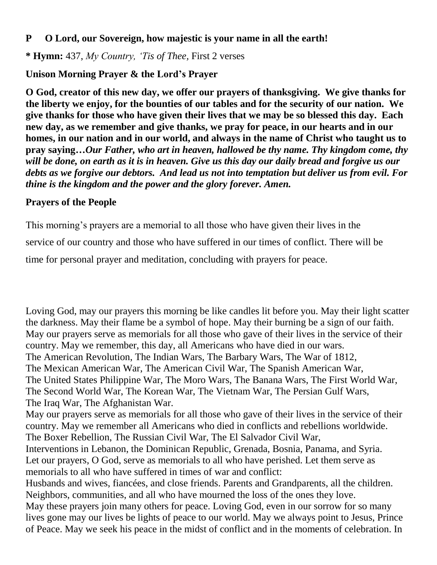#### **P O Lord, our Sovereign, how majestic is your name in all the earth!**

**\* Hymn:** 437, *My Country, 'Tis of Thee,* First 2 verses

# **Unison Morning Prayer & the Lord's Prayer**

**O God, creator of this new day, we offer our prayers of thanksgiving. We give thanks for the liberty we enjoy, for the bounties of our tables and for the security of our nation. We give thanks for those who have given their lives that we may be so blessed this day. Each new day, as we remember and give thanks, we pray for peace, in our hearts and in our homes, in our nation and in our world, and always in the name of Christ who taught us to pray saying…***Our Father, who art in heaven, hallowed be thy name. Thy kingdom come, thy will be done, on earth as it is in heaven. Give us this day our daily bread and forgive us our debts as we forgive our debtors. And lead us not into temptation but deliver us from evil. For thine is the kingdom and the power and the glory forever. Amen.*

### **Prayers of the People**

This morning's prayers are a memorial to all those who have given their lives in the service of our country and those who have suffered in our times of conflict. There will be time for personal prayer and meditation, concluding with prayers for peace.

Loving God, may our prayers this morning be like candles lit before you. May their light scatter the darkness. May their flame be a symbol of hope. May their burning be a sign of our faith. May our prayers serve as memorials for all those who gave of their lives in the service of their country. May we remember, this day, all Americans who have died in our wars. The American Revolution, The Indian Wars, The Barbary Wars, The War of 1812, The Mexican American War, The American Civil War, The Spanish American War, The United States Philippine War, The Moro Wars, The Banana Wars, The First World War, The Second World War, The Korean War, The Vietnam War, The Persian Gulf Wars, The Iraq War, The Afghanistan War.

May our prayers serve as memorials for all those who gave of their lives in the service of their country. May we remember all Americans who died in conflicts and rebellions worldwide. The Boxer Rebellion, The Russian Civil War, The El Salvador Civil War,

Interventions in Lebanon, the Dominican Republic, Grenada, Bosnia, Panama, and Syria. Let our prayers, O God, serve as memorials to all who have perished. Let them serve as memorials to all who have suffered in times of war and conflict:

Husbands and wives, fiancées, and close friends. Parents and Grandparents, all the children. Neighbors, communities, and all who have mourned the loss of the ones they love. May these prayers join many others for peace. Loving God, even in our sorrow for so many lives gone may our lives be lights of peace to our world. May we always point to Jesus, Prince of Peace. May we seek his peace in the midst of conflict and in the moments of celebration. In